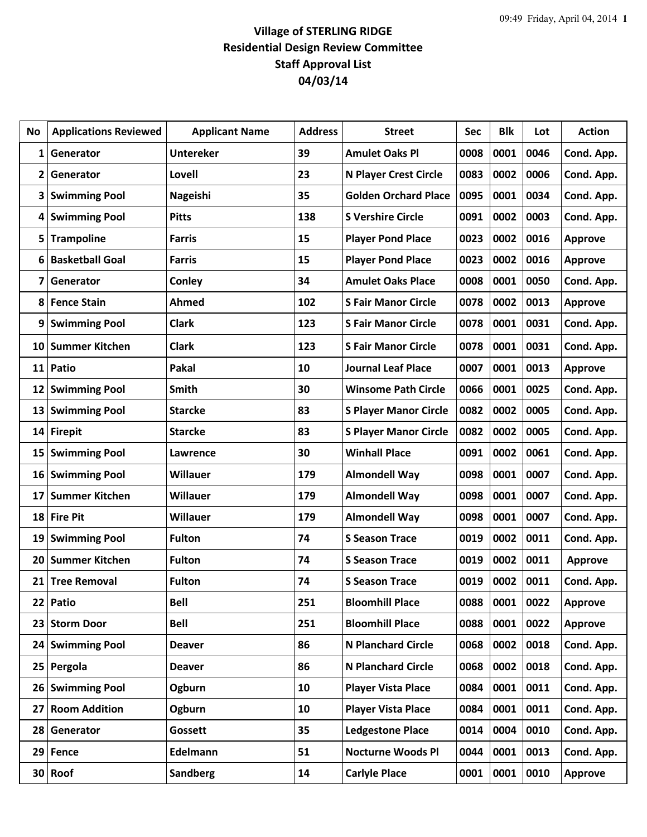## **Village of STERLING RIDGE Residential Design Review Committee Staff Approval List 04/03/14**

| No              | <b>Applications Reviewed</b> | <b>Applicant Name</b> | <b>Address</b> | <b>Street</b>                | Sec  | <b>Blk</b> | Lot  | <b>Action</b>  |
|-----------------|------------------------------|-----------------------|----------------|------------------------------|------|------------|------|----------------|
| 1               | Generator                    | <b>Untereker</b>      | 39             | <b>Amulet Oaks Pl</b>        | 0008 | 0001       | 0046 | Cond. App.     |
| 2               | Generator                    | Lovell                | 23             | <b>N Player Crest Circle</b> | 0083 | 0002       | 0006 | Cond. App.     |
| 3               | <b>Swimming Pool</b>         | Nageishi              | 35             | <b>Golden Orchard Place</b>  | 0095 | 0001       | 0034 | Cond. App.     |
| 4               | <b>Swimming Pool</b>         | <b>Pitts</b>          | 138            | <b>S Vershire Circle</b>     | 0091 | 0002       | 0003 | Cond. App.     |
| 5               | <b>Trampoline</b>            | <b>Farris</b>         | 15             | <b>Player Pond Place</b>     | 0023 | 0002       | 0016 | Approve        |
| 6               | <b>Basketball Goal</b>       | <b>Farris</b>         | 15             | <b>Player Pond Place</b>     | 0023 | 0002       | 0016 | <b>Approve</b> |
| 7               | Generator                    | Conley                | 34             | <b>Amulet Oaks Place</b>     | 0008 | 0001       | 0050 | Cond. App.     |
| 8               | <b>Fence Stain</b>           | Ahmed                 | 102            | <b>S Fair Manor Circle</b>   | 0078 | 0002       | 0013 | <b>Approve</b> |
| 9               | <b>Swimming Pool</b>         | <b>Clark</b>          | 123            | <b>S Fair Manor Circle</b>   | 0078 | 0001       | 0031 | Cond. App.     |
| 10              | <b>Summer Kitchen</b>        | <b>Clark</b>          | 123            | <b>S Fair Manor Circle</b>   | 0078 | 0001       | 0031 | Cond. App.     |
|                 | 11 Patio                     | Pakal                 | 10             | <b>Journal Leaf Place</b>    | 0007 | 0001       | 0013 | <b>Approve</b> |
| 12              | <b>Swimming Pool</b>         | <b>Smith</b>          | 30             | <b>Winsome Path Circle</b>   | 0066 | 0001       | 0025 | Cond. App.     |
| 13              | <b>Swimming Pool</b>         | <b>Starcke</b>        | 83             | <b>S Player Manor Circle</b> | 0082 | 0002       | 0005 | Cond. App.     |
| 14              | <b>Firepit</b>               | <b>Starcke</b>        | 83             | <b>S Player Manor Circle</b> | 0082 | 0002       | 0005 | Cond. App.     |
| 15              | <b>Swimming Pool</b>         | Lawrence              | 30             | <b>Winhall Place</b>         | 0091 | 0002       | 0061 | Cond. App.     |
| 16              | <b>Swimming Pool</b>         | <b>Willauer</b>       | 179            | <b>Almondell Way</b>         | 0098 | 0001       | 0007 | Cond. App.     |
| 17              | <b>Summer Kitchen</b>        | <b>Willauer</b>       | 179            | <b>Almondell Way</b>         | 0098 | 0001       | 0007 | Cond. App.     |
| 18              | <b>Fire Pit</b>              | <b>Willauer</b>       | 179            | <b>Almondell Way</b>         | 0098 | 0001       | 0007 | Cond. App.     |
| 19              | <b>Swimming Pool</b>         | <b>Fulton</b>         | 74             | <b>S Season Trace</b>        | 0019 | 0002       | 0011 | Cond. App.     |
| 20              | <b>Summer Kitchen</b>        | <b>Fulton</b>         | 74             | <b>S Season Trace</b>        | 0019 | 0002       | 0011 | Approve        |
| 21              | <b>Tree Removal</b>          | <b>Fulton</b>         | 74             | <b>S Season Trace</b>        | 0019 | 0002       | 0011 | Cond. App.     |
| 22              | Patio                        | <b>Bell</b>           | 251            | <b>Bloomhill Place</b>       | 0088 | 0001       | 0022 | <b>Approve</b> |
| 23              | <b>Storm Door</b>            | <b>Bell</b>           | 251            | <b>Bloomhill Place</b>       | 0088 | 0001       | 0022 | Approve        |
| 24              | <b>Swimming Pool</b>         | <b>Deaver</b>         | 86             | <b>N Planchard Circle</b>    | 0068 | 0002       | 0018 | Cond. App.     |
| 25              | Pergola                      | <b>Deaver</b>         | 86             | <b>N Planchard Circle</b>    | 0068 | 0002       | 0018 | Cond. App.     |
| 26              | <b>Swimming Pool</b>         | Ogburn                | 10             | <b>Player Vista Place</b>    | 0084 | 0001       | 0011 | Cond. App.     |
| 27              | <b>Room Addition</b>         | Ogburn                | 10             | <b>Player Vista Place</b>    | 0084 | 0001       | 0011 | Cond. App.     |
| 28              | Generator                    | Gossett               | 35             | <b>Ledgestone Place</b>      | 0014 | 0004       | 0010 | Cond. App.     |
| 29              | Fence                        | Edelmann              | 51             | <b>Nocturne Woods Pl</b>     | 0044 | 0001       | 0013 | Cond. App.     |
| 30 <sup>°</sup> | Roof                         | <b>Sandberg</b>       | 14             | <b>Carlyle Place</b>         | 0001 | 0001       | 0010 | <b>Approve</b> |